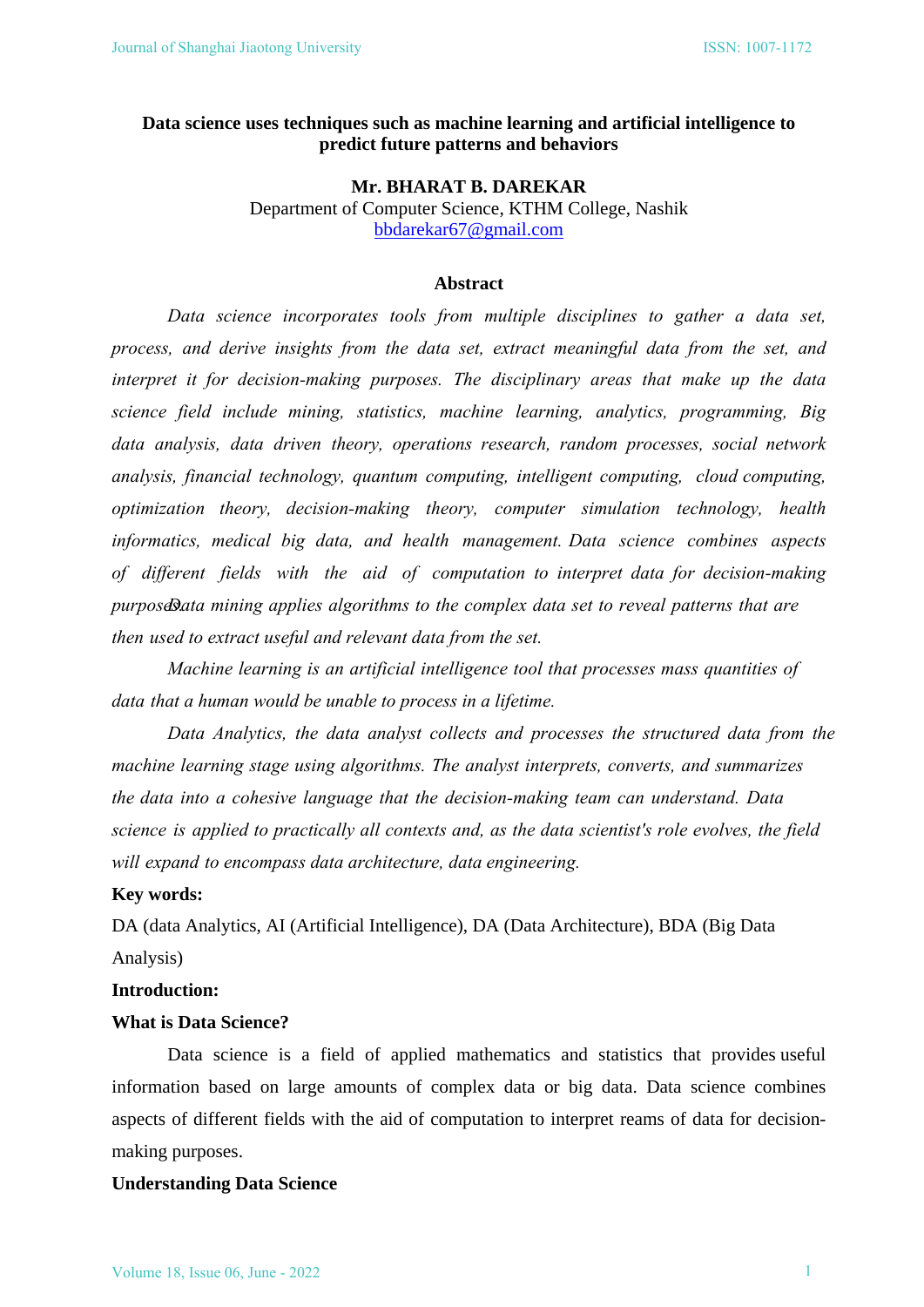# **Data science uses techniques such as machine learning and artificial intelligence to predict future patterns and behaviors**

### **Mr. BHARAT B. DAREKAR**

Department of Computer Science, KTHM College, Nashik [bbdarekar67@gmail.com](mailto:bbdarekar67@gmail.com)

#### **Abstract**

*Data science incorporates tools from multiple disciplines to gather a data set, process, and derive insights from the data set, extract meaningful data from the set, and interpret it for decision-making purposes. The disciplinary areas that make up the data science field include mining, statistics, machine learning, analytics, programming, Big data analysis, data driven theory, operations research, random processes, social network analysis, financial technology, quantum computing, intelligent computing, cloud computing, optimization theory, decision-making theory, computer simulation technology, health informatics, medical big data, and health management. Data science combines aspects of different fields with the aid of computation to interpret data for decision-making purposd Data mining applies algorithms to the complex data set to reveal patterns that are then used to extract useful and relevant data from the set.* 

*Machine learning is an artificial intelligence tool that processes mass quantities of data that a human would be unable to process in a lifetime.* 

*Data Analytics, the data analyst collects and processes the structured data from the machine learning stage usin[g algorithms](https://www.investopedia.com/terms/a/algorithm.asp). The analyst interprets, converts, and summarizes the data into a cohesive language that the decision-making team can understand. Data science is applied to practically all contexts and, as the data scientist's role evolves, the field will expand to encompass data architecture, data engineering.* 

#### **Key words:**

DA (data Analytics, AI (Artificial Intelligence), DA (Data Architecture), BDA (Big Data Analysis)

#### **Introduction:**

#### **What is Data Science?**

Data science is a field of applied mathematics and [statistics](https://www.investopedia.com/terms/s/statistics.asp) that provides useful information based on large amounts of complex data or [big data.](https://www.investopedia.com/terms/b/big-data.asp) Data science combines aspects of different fields with the aid of computation to interpret reams of data for decisionmaking purposes.

# **Understanding Data Science**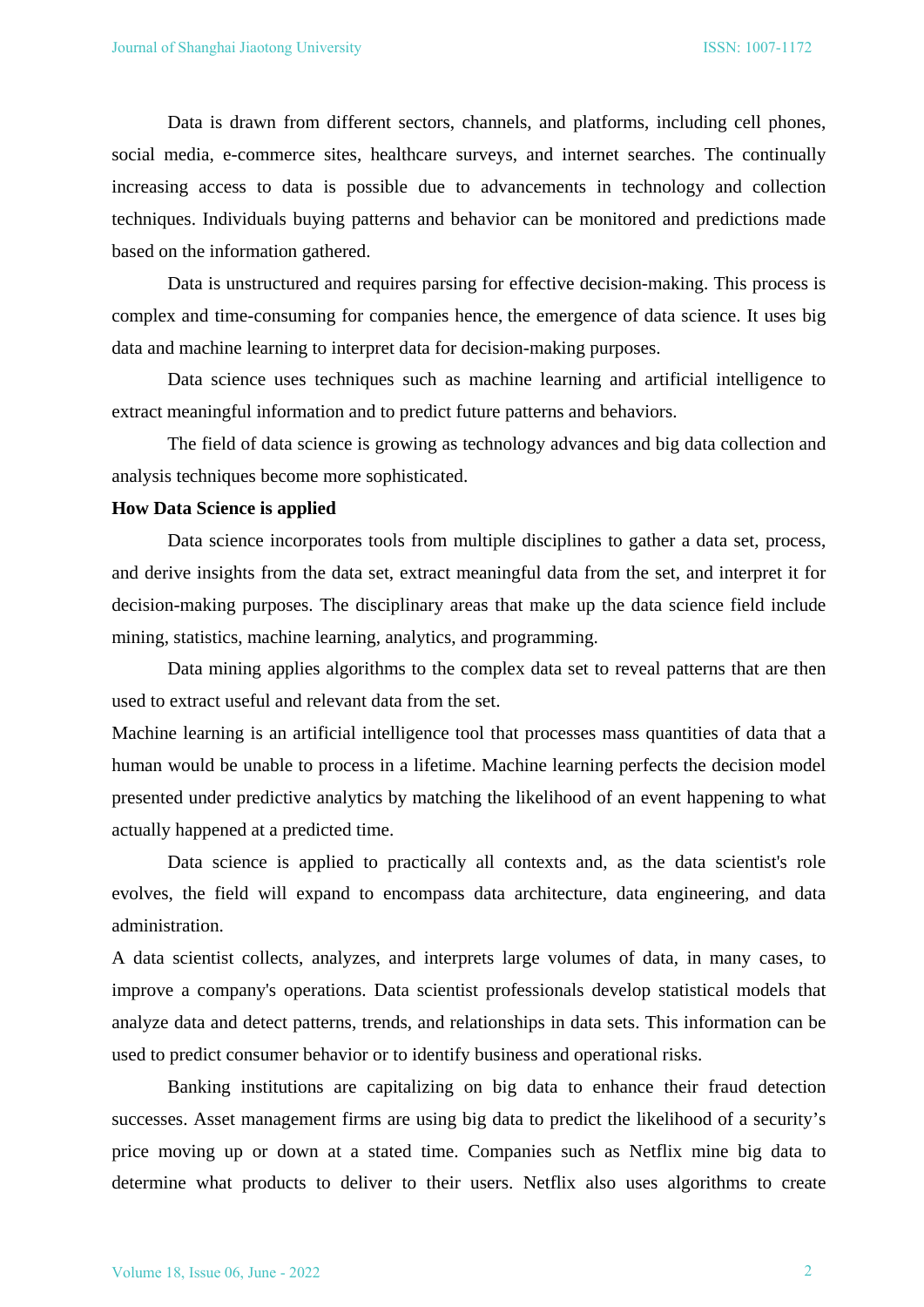Data is drawn from different sectors, channels, and platforms, including cell phones, social media, e-commerce sites, healthcare surveys, and internet searches. The continually increasing access to data is possible due to advancements in technology and collection techniques. Individuals buying patterns and behavior can be monitored and predictions made based on the information gathered.

Data is unstructured and requires parsing for effective decision-making. This process is complex and time-consuming for companies hence, the emergence of data science. It uses big data and machine learning to interpret data for decision-making purposes.

Data science uses techniques such as machine learning and artificial intelligence to extract meaningful information and to predict future patterns and behaviors.

The field of data science is growing as technology advances and big data collection and analysis techniques become more sophisticated.

#### **How Data Science is applied**

Data science incorporates tools from multiple disciplines to gather a data set, process, and derive insights from the data set, extract meaningful data from the set, and interpret it for decision-making purposes. The disciplinary areas that make up the data science field include mining, statistics, machine learning, analytics, and programming.

[Data mining](https://www.investopedia.com/terms/d/datamining.asp) applies algorithms to the complex data set to reveal patterns that are then used to extract useful and relevant data from the set.

Machine learning is an artificial intelligence tool that processes mass quantities of data that a human would be unable to process in a lifetime. Machine learning perfects the decision model presented under predictive analytics by matching the likelihood of an event happening to what actually happened at a predicted time.

Data science is applied to practically all contexts and, as the data scientist's role evolves, the field will expand to encompass data architecture, data engineering, and data administration.

A data scientist collects, analyzes, and interprets large volumes of data, in many cases, to improve a company's operations. Data scientist professionals develop statistical models that analyze data and detect patterns, trends, and relationships in data sets. This information can be used to predict consumer behavior or to identify business and operational risks.

Banking institutions are capitalizing on big data to enhance their fraud detection successes. Asset management firms are using big data to predict the likelihood of a security's price moving up or down at a stated time. Companies such as Netflix mine big data to determine what products to deliver to their users. Netflix also uses algorithms to create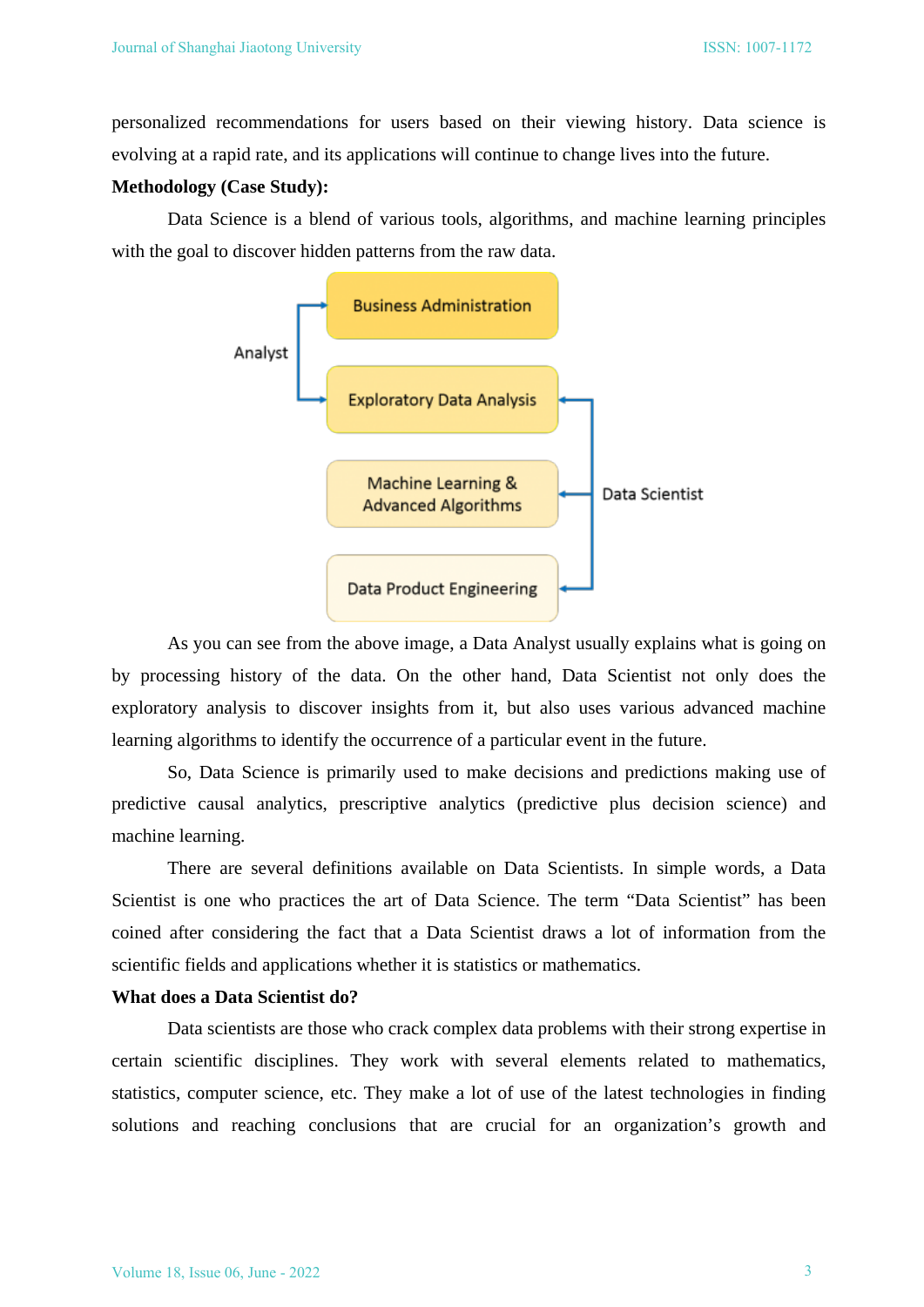personalized recommendations for users based on their viewing history. Data science is evolving at a rapid rate, and its applications will continue to change lives into the future.

### **Methodology (Case Study):**

Data Science is a blend of various tools, algorithms, and machine learning principles with the goal to discover hidden patterns from the raw data.



As you can see from the above image, a Data Analyst usually explains what is going on by processing history of the data. On the other hand, Data Scientist not only does the exploratory analysis to discover insights from it, but also uses various advanced machine learning algorithms to identify the occurrence of a particular event in the future.

So, Data Science is primarily used to make decisions and predictions making use of predictive causal analytics, prescriptive analytics (predictive plus decision science) and machine learning.

There are several definitions available on Data Scientists. In simple words, a Data Scientist is one who practices the art of Data Science. The term "Data Scientist" has been coined after considering the fact that a Data Scientist draws a lot of information from the scientific fields and applications whether it is statistics or mathematics.

#### **What does a Data Scientist do?**

Data scientists are those who crack complex data problems with their strong expertise in certain scientific disciplines. They work with several elements related to mathematics, statistics, computer science, etc. They make a lot of use of the latest technologies in finding solutions and reaching conclusions that are crucial for an organization's growth and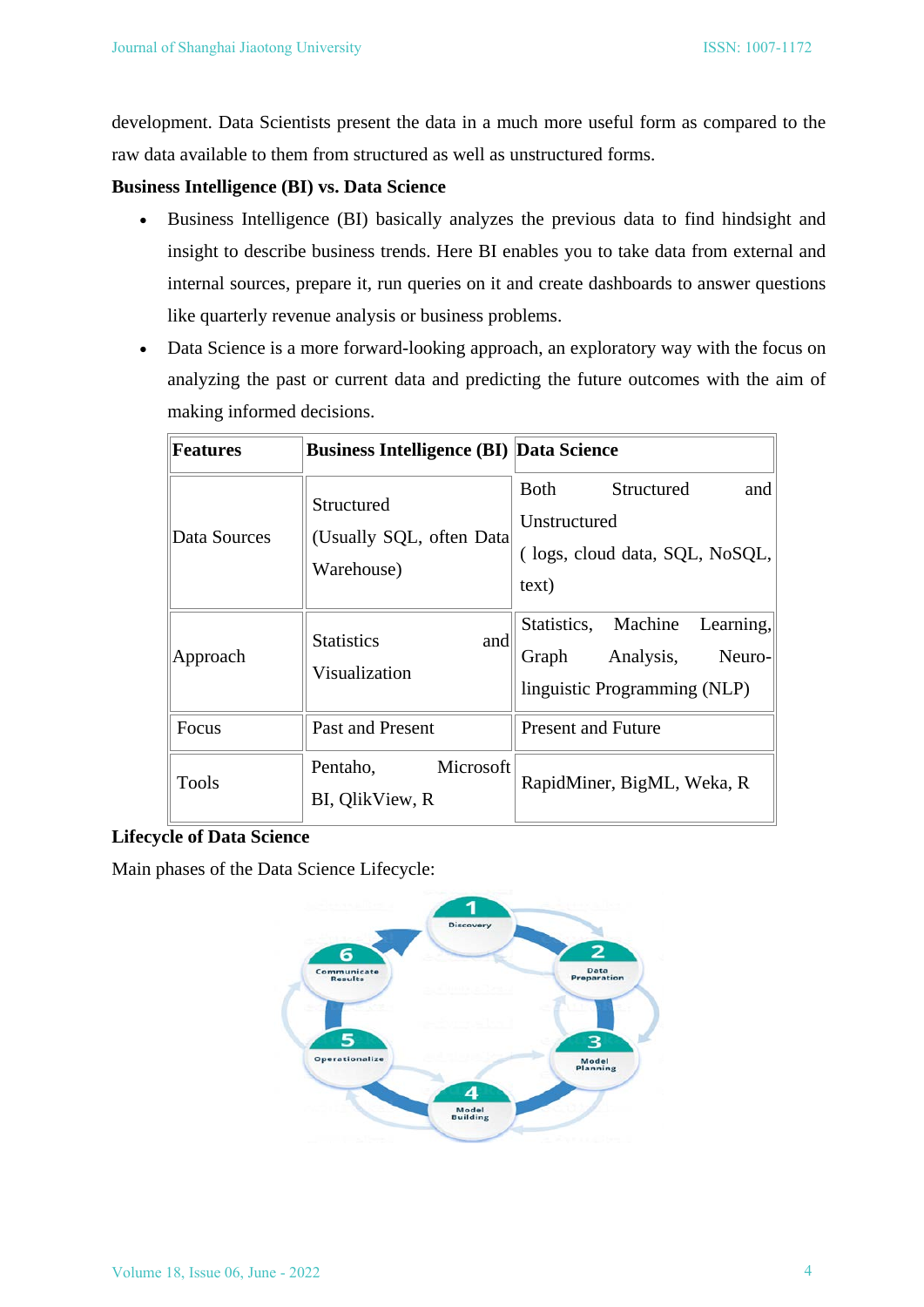development. Data Scientists present the data in a much more useful form as compared to the raw data available to them from structured as well as unstructured forms.

# **Business Intelligence (BI) vs. Data Science**

- Business Intelligence (BI) basically analyzes the previous data to find hindsight and insight to describe business trends. Here BI enables you to take data from external and internal sources, prepare it, run queries on it and create dashboards to answer questions like quarterly revenue analysis or business problems.
- Data Science is a more forward-looking approach, an exploratory way with the focus on analyzing the past or current data and predicting the future outcomes with the aim of making informed decisions.

| <b>Features</b> | <b>Business Intelligence (BI) Data Science</b>        |                                                                                               |
|-----------------|-------------------------------------------------------|-----------------------------------------------------------------------------------------------|
| Data Sources    | Structured<br>(Usually SQL, often Data)<br>Warehouse) | Both<br>Structured<br>and<br>Unstructured<br>(logs, cloud data, SQL, NoSQL,<br>text)          |
| Approach        | <b>Statistics</b><br>and<br>Visualization             | Statistics, Machine Learning,<br>Analysis,<br>Neuro-<br>Graph<br>linguistic Programming (NLP) |
| Focus           | <b>Past and Present</b>                               | <b>Present and Future</b>                                                                     |
| Tools           | Microsoft<br>Pentaho,<br>BI, QlikView, R              | RapidMiner, BigML, Weka, R                                                                    |

# **Lifecycle of Data Science**

Main phases of the Data Science Lifecycle:

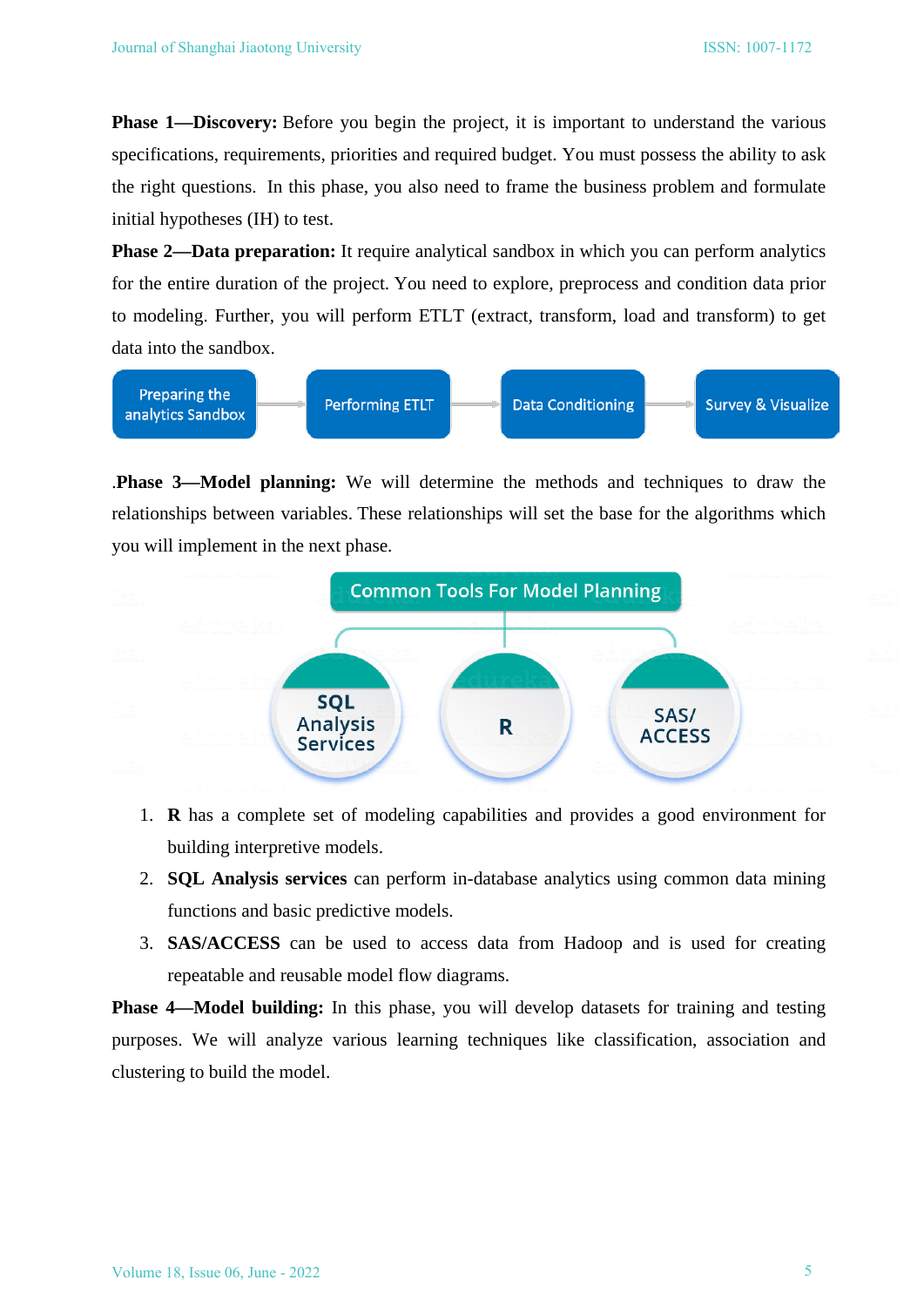**Phase 1—Discovery:** Before you begin the project, it is important to understand the various specifications, requirements, priorities and required budget. You must possess the ability to ask the right questions. In this phase, you also need to frame the business problem and formulate initial hypotheses (IH) to test.

**Phase 2—Data preparation:** It require analytical sandbox in which you can perform analytics for the entire duration of the project. You need to explore, preprocess and condition data prior to modeling. Further, you will perform ETLT (extract, transform, load and transform) to get data into the sandbox.



.**Phase 3—Model planning:** We will determine the methods and techniques to draw the relationships between variables. These relationships will set the base for the algorithms which you will implement in the next phase.



- 1. **R** has a complete set of modeling capabilities and provides a good environment for building interpretive models.
- 2. **SQL Analysis services** can perform in-database analytics using common data mining functions and basic predictive models.
- 3. **SAS/ACCESS** can be used to access data from Hadoop and is used for creating repeatable and reusable model flow diagrams.

**Phase 4—Model building:** In this phase, you will develop datasets for training and testing purposes. We will analyze various learning techniques like classification, association and clustering to build the model.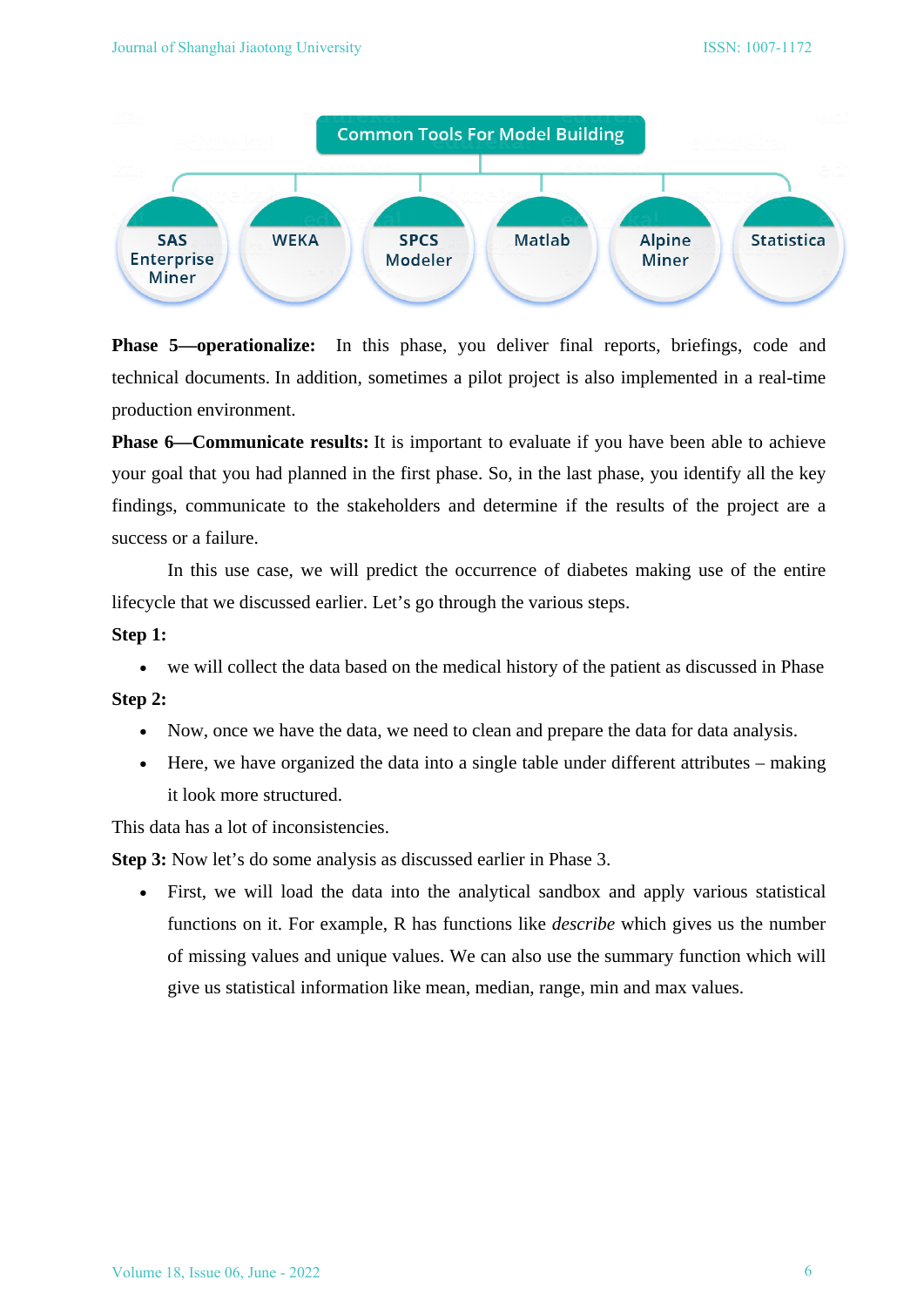

**Phase 5—operationalize:** In this phase, you deliver final reports, briefings, code and technical documents. In addition, sometimes a pilot project is also implemented in a real-time production environment.

**Phase 6—Communicate results:** It is important to evaluate if you have been able to achieve your goal that you had planned in the first phase. So, in the last phase, you identify all the key findings, communicate to the stakeholders and determine if the results of the project are a success or a failure.

In this use case, we will predict the occurrence of diabetes making use of the entire lifecycle that we discussed earlier. Let's go through the various steps.

### **Step 1:**

• we will collect the data based on the medical history of the patient as discussed in Phase

# **Step 2:**

- Now, once we have the data, we need to clean and prepare the data for data analysis.
- Here, we have organized the data into a single table under different attributes making it look more structured.

This data has a lot of inconsistencies.

**Step 3:** Now let's do some analysis as discussed earlier in Phase 3.

• First, we will load the data into the analytical sandbox and apply various statistical functions on it. For example, R has functions like *describe* which gives us the number of missing values and unique values. We can also use the summary function which will give us statistical information like mean, median, range, min and max values.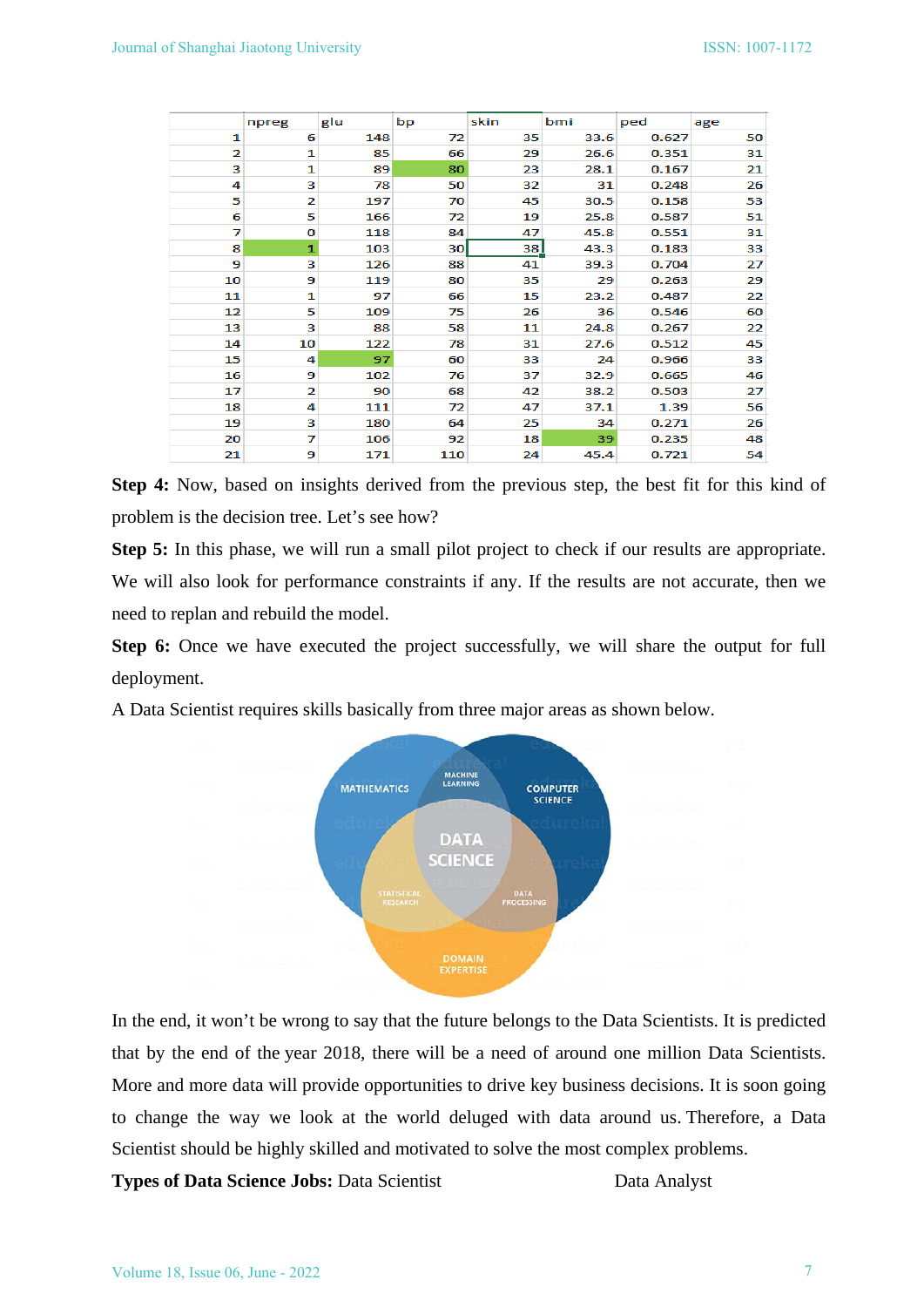|                | npreg | glu | bp  | skin | bmi  | ped   | age |
|----------------|-------|-----|-----|------|------|-------|-----|
| 1              | 6     | 148 | 72  | 35   | 33.6 | 0.627 | 50  |
| $\overline{2}$ | 1     | 85  | 66  | 29   | 26.6 | 0.351 | 31  |
| з              | 1     | 89  | 80  | 23   | 28.1 | 0.167 | 21  |
| 4              | з     | 78  | 50  | 32   | 31   | 0.248 | 26  |
| 5              | 2     | 197 | 70  | 45   | 30.5 | 0.158 | 53  |
| 6              | 5     | 166 | 72  | 19   | 25.8 | 0.587 | 51  |
| 7              | o     | 118 | 84  | 47   | 45.8 | 0.551 | 31  |
| 8              | 1     | 103 | 30  | 38   | 43.3 | 0.183 | 33  |
| 9              | з     | 126 | 88  | 41   | 39.3 | 0.704 | 27  |
| 10             | 9     | 119 | 80  | 35   | 29   | 0.263 | 29  |
| 11             | 1     | 97  | 66  | 15   | 23.2 | 0.487 | 22  |
| 12             | 5     | 109 | 75  | 26   | 36   | 0.546 | 60  |
| 13             | з     | 88  | 58  | 11   | 24.8 | 0.267 | 22  |
| 14             | 10    | 122 | 78  | 31   | 27.6 | 0.512 | 45  |
| 15             | 4     | 97  | 60  | 33   | 24   | 0.966 | 33  |
| 16             | 9     | 102 | 76  | 37   | 32.9 | 0.665 | 46  |
| 17             | 2     | 90  | 68  | 42   | 38.2 | 0.503 | 27  |
| 18             | 4     | 111 | 72  | 47   | 37.1 | 1.39  | 56  |
| 19             | з     | 180 | 64  | 25   | 34   | 0.271 | 26  |
| 20             | 7     | 106 | 92  | 18   | 39   | 0.235 | 48  |
| 21             | 9     | 171 | 110 | 24   | 45.4 | 0.721 | 54  |

**Step 4:** Now, based on insights derived from the previous step, the best fit for this kind of problem is the decision tree. Let's see how?

**Step 5:** In this phase, we will run a small pilot project to check if our results are appropriate. We will also look for performance constraints if any. If the results are not accurate, then we need to replan and rebuild the model.

**Step 6:** Once we have executed the project successfully, we will share the output for full deployment.

A Data Scientist requires skills basically from three major areas as shown below.



In the end, it won't be wrong to say that the future belongs to the Data Scientists. It is predicted that by the end of the year 2018, there will be a need of around one million Data Scientists. More and more data will provide opportunities to drive key business decisions. It is soon going to change the way we look at the world deluged with data around us. Therefore, a Data Scientist should be highly skilled and motivated to solve the most complex problems.

**Types of Data Science Jobs:** Data Scientist Data Analyst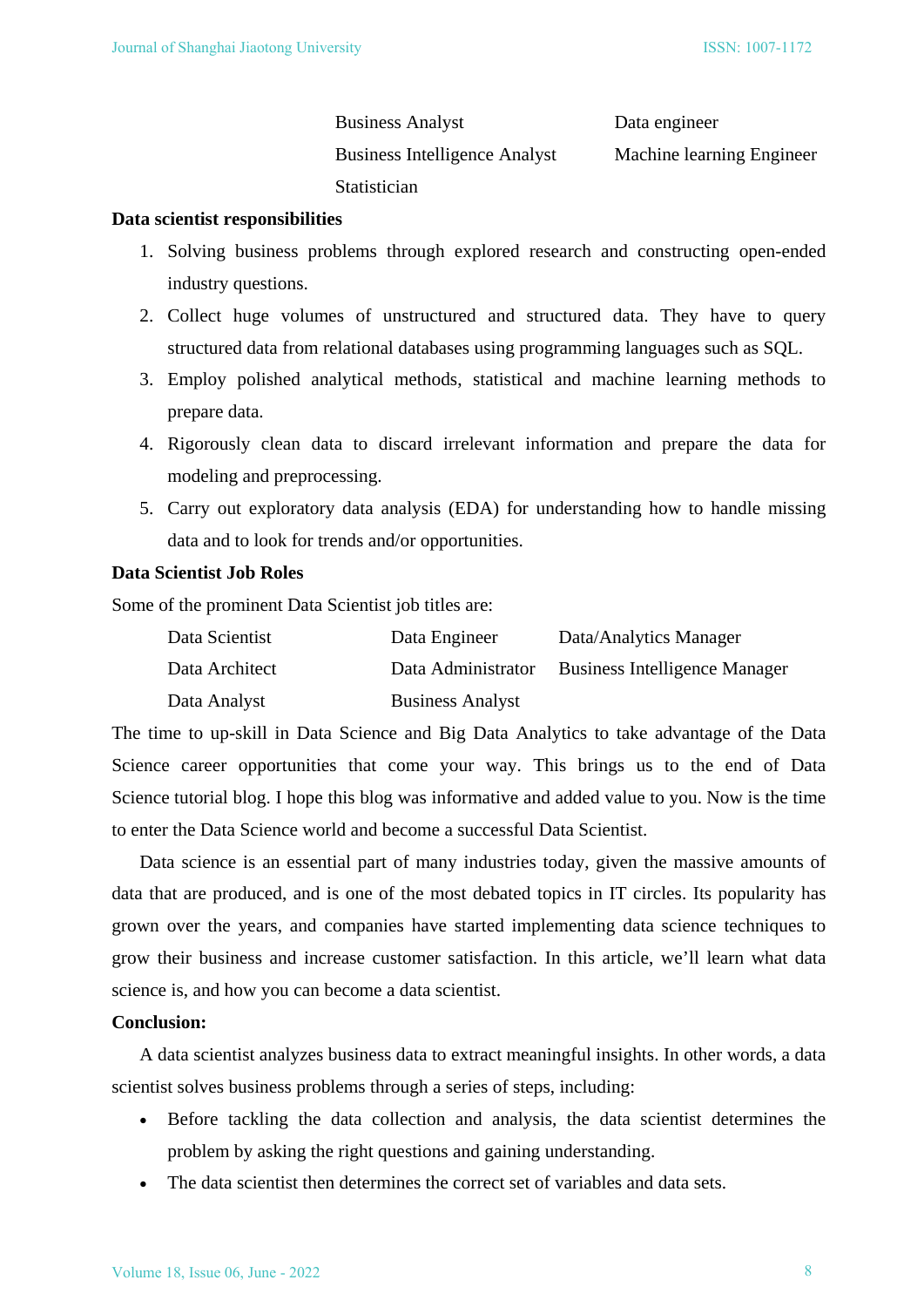Business Analyst Data engineer Business Intelligence Analyst Machine learning Engineer **Statistician** 

### **Data scientist responsibilities**

- 1. Solving business problems through explored research and constructing open-ended industry questions.
- 2. Collect huge volumes of unstructured and structured data. They have to query structured data from relational databases using programming languages such as SQL.
- 3. Employ polished analytical methods, statistical and machine learning methods to prepare data.
- 4. Rigorously clean data to discard irrelevant information and prepare the data for modeling and preprocessing.
- 5. Carry out exploratory data analysis (EDA) for understanding how to handle missing data and to look for trends and/or opportunities.

# **Data Scientist Job Roles**

Some of the prominent Data Scientist job titles are:

| Data Scientist | Data Engineer           | Data/Analytics Manager               |
|----------------|-------------------------|--------------------------------------|
| Data Architect | Data Administrator      | <b>Business Intelligence Manager</b> |
| Data Analyst   | <b>Business Analyst</b> |                                      |

The time to up-skill in Data Science and Big Data Analytics to take advantage of the Data Science career opportunities that come your way. This brings us to the end of Data Science tutorial blog. I hope this blog was informative and added value to you. Now is the time to enter the Data Science world and become a successful Data Scientist.

Data science is an essential part of many industries today, given the massive amounts of data that are produced, and is one of the most debated topics in IT circles. Its popularity has grown over the years, and companies have started implementing data science techniques to grow their business and increase customer satisfaction. In this article, we'll learn what data science is, and how you can become a data scientist.

# **Conclusion:**

A [data scientist](https://www.simplilearn.com/tutorials/data-science-tutorial/how-to-become-a-data-scientist) analyzes business data to extract meaningful insights. In other words, a data scientist solves business problems through a series of steps, including:

- Before tackling the data collection and analysis, the data scientist determines the problem by asking the right questions and gaining understanding.
- The data scientist then determines the correct set of variables and data sets.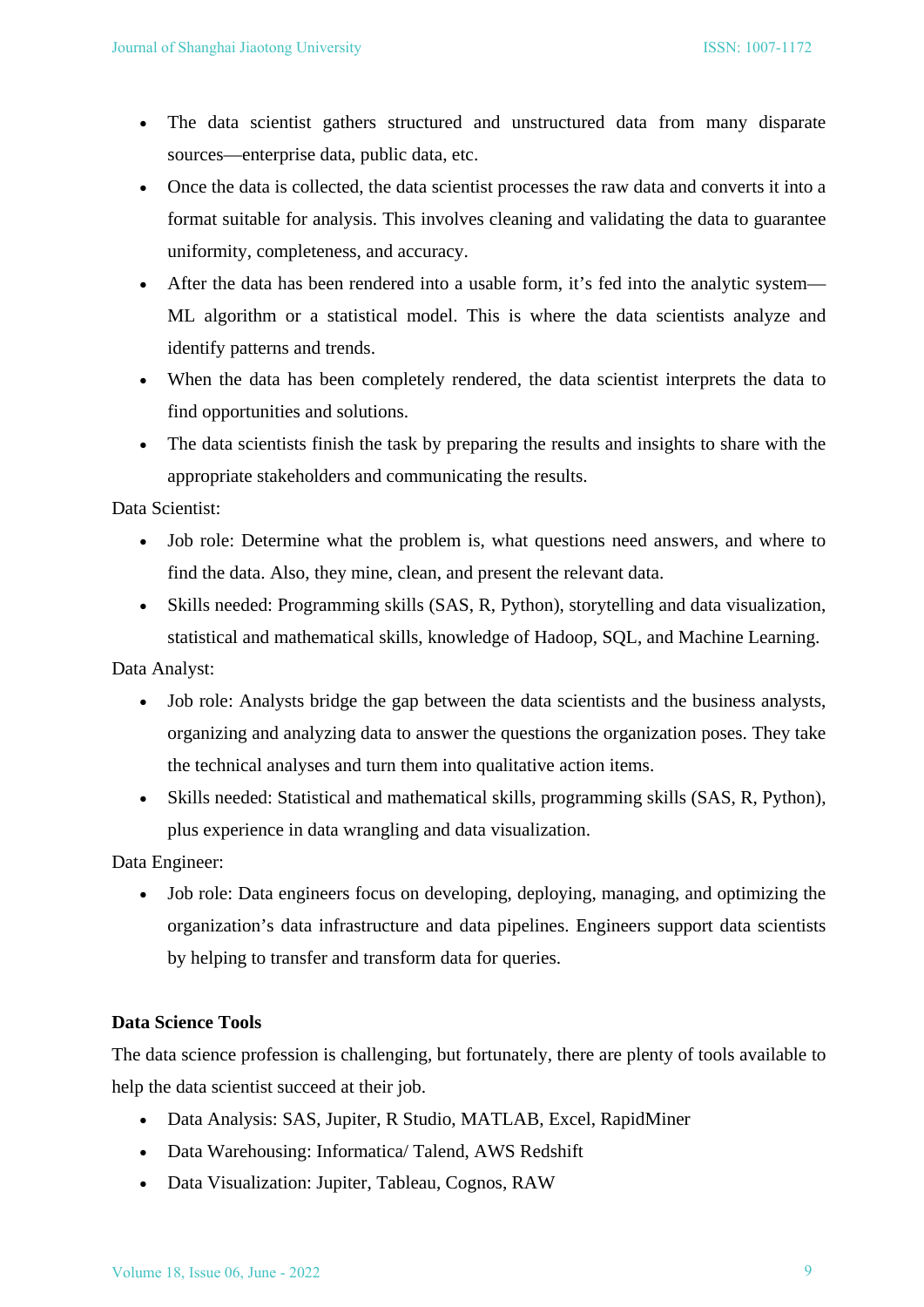- The data scientist gathers structured and unstructured data from many disparate sources—enterprise data, public data, etc.
- Once the data is collected, the data scientist processes the raw data and converts it into a format suitable for analysis. This involves cleaning and validating the data to guarantee uniformity, completeness, and accuracy.
- After the data has been rendered into a usable form, it's fed into the analytic system— ML algorithm or a statistical model. This is where the data scientists analyze and identify patterns and trends.
- When the data has been completely rendered, the data scientist interprets the data to find opportunities and solutions.
- The data scientists finish the task by preparing the results and insights to share with the appropriate stakeholders and communicating the results.

Data Scientist:

- Job role: Determine what the problem is, what questions need answers, and where to find the data. Also, they mine, clean, and present the relevant data.
- Skills needed: Programming skills (SAS, R, Python), storytelling and data visualization, statistical and mathematical skills, knowledge of Hadoop, SQL, and Machine Learning.

Data Analyst:

- Job role: Analysts bridge the gap between the data scientists and the business analysts, organizing and analyzing data to answer the questions the organization poses. They take the technical analyses and turn them into qualitative action items.
- Skills needed: Statistical and mathematical skills, programming skills (SAS, R, Python), plus experience in data wrangling and data visualization.

Data Engineer:

• Job role: [Data engineers](https://www.simplilearn.com/tutorials/data-science-tutorial/data-scientist-vs-data-analyst-vs-data-engineer) focus on developing, deploying, managing, and optimizing the organization's data infrastructure and data pipelines. Engineers support data scientists by helping to transfer and transform data for queries.

# **Data Science Tools**

The data science profession is challenging, but fortunately, there are plenty of tools available to help the data scientist succeed at their job.

- Data Analysis: SAS, Jupiter, R Studio, MATLAB, Excel, RapidMiner
- Data Warehousing: Informatica/ Talend, AWS Redshift
- Data Visualization: Jupiter, Tableau, Cognos, RAW